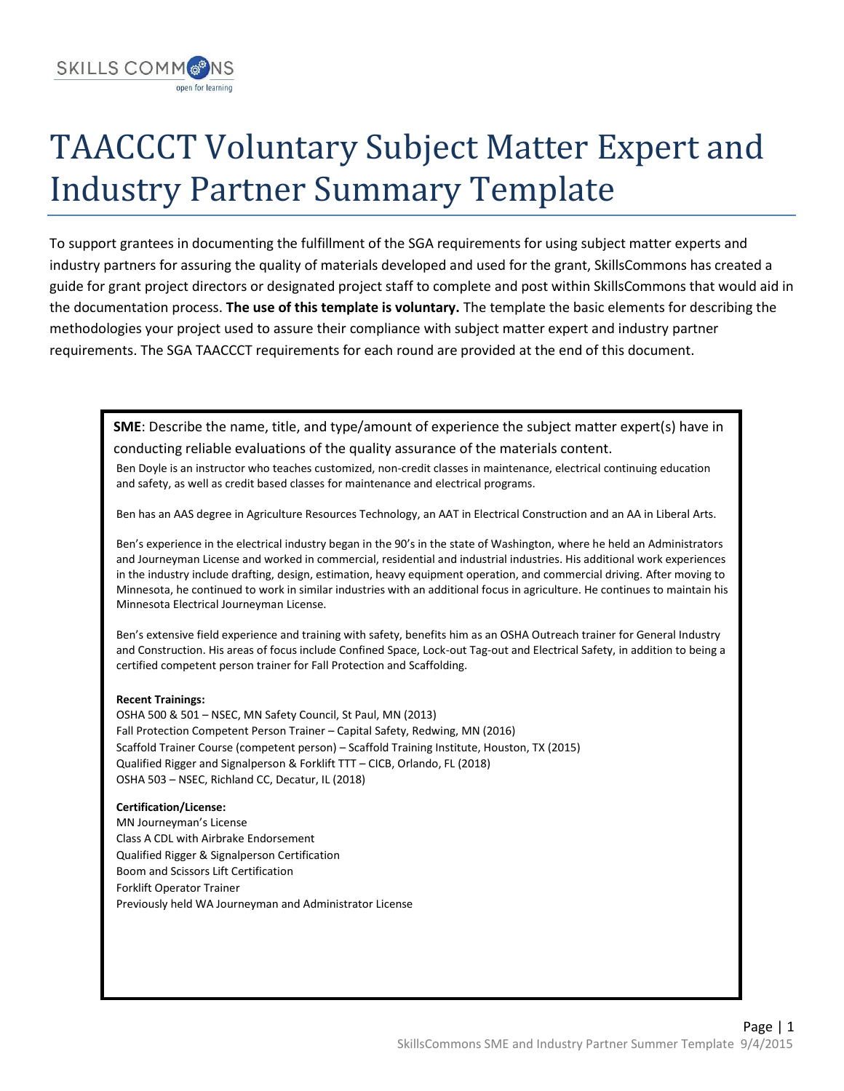

## TAACCCT Voluntary Subject Matter Expert and Industry Partner Summary Template

To support grantees in documenting the fulfillment of the SGA requirements for using subject matter experts and industry partners for assuring the quality of materials developed and used for the grant, SkillsCommons has created a guide for grant project directors or designated project staff to complete and post within SkillsCommons that would aid in the documentation process. **The use of this template is voluntary.** The template the basic elements for describing the methodologies your project used to assure their compliance with subject matter expert and industry partner requirements. The SGA TAACCCT requirements for each round are provided at the end of this document.

**SME**: Describe the name, title, and type/amount of experience the subject matter expert(s) have in conducting reliable evaluations of the quality assurance of the materials content.

Ben Doyle is an instructor who teaches customized, non-credit classes in maintenance, electrical continuing education and safety, as well as credit based classes for maintenance and electrical programs.

Ben has an AAS degree in Agriculture Resources Technology, an AAT in Electrical Construction and an AA in Liberal Arts.

Ben's experience in the electrical industry began in the 90's in the state of Washington, where he held an Administrators and Journeyman License and worked in commercial, residential and industrial industries. His additional work experiences in the industry include drafting, design, estimation, heavy equipment operation, and commercial driving. After moving to Minnesota, he continued to work in similar industries with an additional focus in agriculture. He continues to maintain his Minnesota Electrical Journeyman License.

Ben's extensive field experience and training with safety, benefits him as an OSHA Outreach trainer for General Industry and Construction. His areas of focus include Confined Space, Lock-out Tag-out and Electrical Safety, in addition to being a certified competent person trainer for Fall Protection and Scaffolding.

## **Recent Trainings:**

 OSHA 500 & 501 – NSEC, MN Safety Council, St Paul, MN (2013) Fall Protection Competent Person Trainer – Capital Safety, Redwing, MN (2016) Scaffold Trainer Course (competent person) – Scaffold Training Institute, Houston, TX (2015) Qualified Rigger and Signalperson & Forklift TTT – CICB, Orlando, FL (2018) OSHA 503 – NSEC, Richland CC, Decatur, IL (2018)

## **Certification/License:**

 MN Journeyman's License Class A CDL with Airbrake Endorsement Qualified Rigger & Signalperson Certification Boom and Scissors Lift Certification Forklift Operator Trainer Previously held WA Journeyman and Administrator License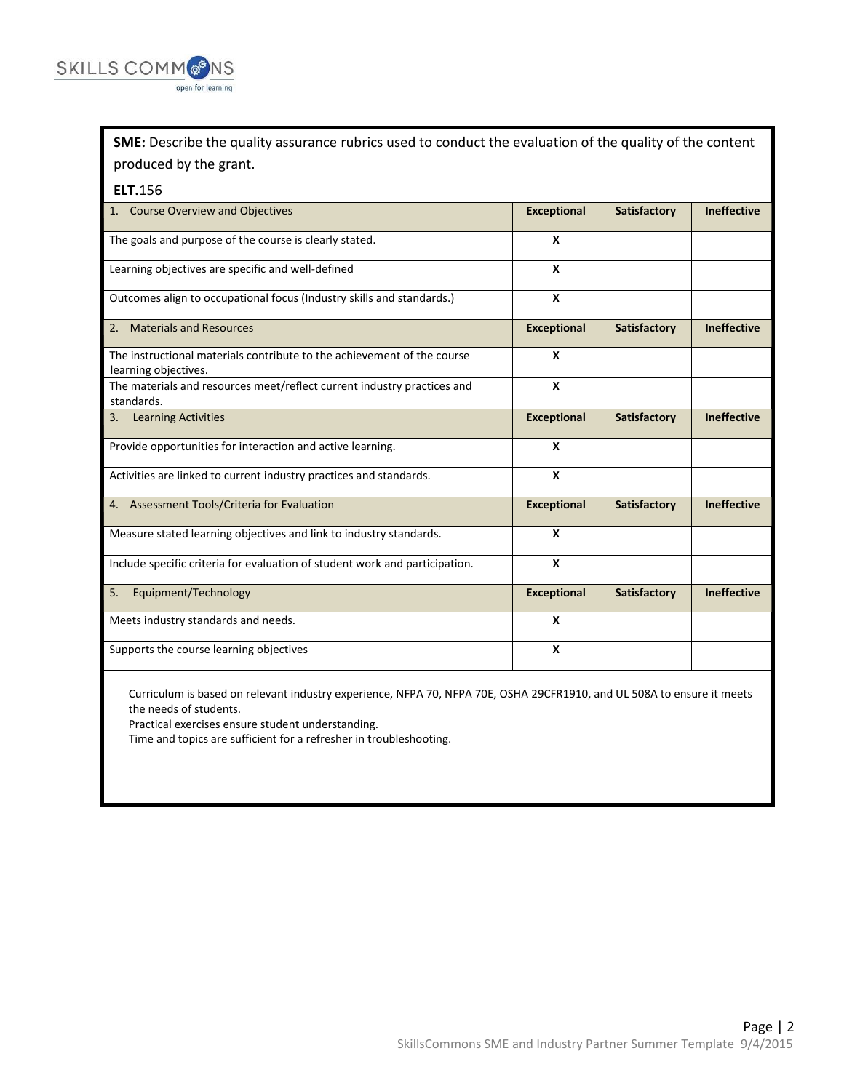

**SME:** Describe the quality assurance rubrics used to conduct the evaluation of the quality of the content produced by the grant.

## **ELT.**156

| 1. Course Overview and Objectives                                                               | <b>Exceptional</b> | Satisfactory | <b>Ineffective</b> |
|-------------------------------------------------------------------------------------------------|--------------------|--------------|--------------------|
| The goals and purpose of the course is clearly stated.                                          | X                  |              |                    |
| Learning objectives are specific and well-defined                                               | $\boldsymbol{x}$   |              |                    |
| Outcomes align to occupational focus (Industry skills and standards.)                           | X                  |              |                    |
| 2. Materials and Resources                                                                      | <b>Exceptional</b> | Satisfactory | <b>Ineffective</b> |
| The instructional materials contribute to the achievement of the course<br>learning objectives. | X                  |              |                    |
| The materials and resources meet/reflect current industry practices and<br>standards.           | $\boldsymbol{x}$   |              |                    |
| <b>Learning Activities</b><br>3.                                                                | <b>Exceptional</b> | Satisfactory | <b>Ineffective</b> |
| Provide opportunities for interaction and active learning.                                      | $\boldsymbol{x}$   |              |                    |
| Activities are linked to current industry practices and standards.                              | X                  |              |                    |
| 4. Assessment Tools/Criteria for Evaluation                                                     | <b>Exceptional</b> | Satisfactory | <b>Ineffective</b> |
| Measure stated learning objectives and link to industry standards.                              | X                  |              |                    |
| Include specific criteria for evaluation of student work and participation.                     | $\boldsymbol{x}$   |              |                    |
| Equipment/Technology<br>5.                                                                      | <b>Exceptional</b> | Satisfactory | <b>Ineffective</b> |
| Meets industry standards and needs.                                                             | X                  |              |                    |
| Supports the course learning objectives                                                         | X                  |              |                    |

Curriculum is based on relevant industry experience, NFPA 70, NFPA 70E, OSHA 29CFR1910, and UL 508A to ensure it meets the needs of students.

Practical exercises ensure student understanding.

Time and topics are sufficient for a refresher in troubleshooting.